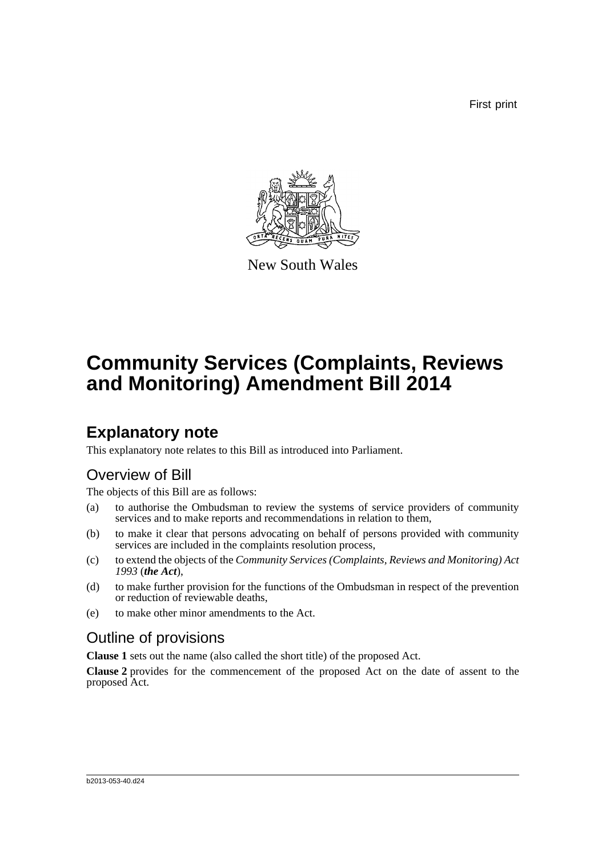First print



New South Wales

# **Community Services (Complaints, Reviews and Monitoring) Amendment Bill 2014**

## **Explanatory note**

This explanatory note relates to this Bill as introduced into Parliament.

### Overview of Bill

The objects of this Bill are as follows:

- (a) to authorise the Ombudsman to review the systems of service providers of community services and to make reports and recommendations in relation to them,
- (b) to make it clear that persons advocating on behalf of persons provided with community services are included in the complaints resolution process,
- (c) to extend the objects of the *Community Services (Complaints, Reviews and Monitoring) Act 1993* (*the Act*),
- (d) to make further provision for the functions of the Ombudsman in respect of the prevention or reduction of reviewable deaths,
- (e) to make other minor amendments to the Act.

### Outline of provisions

**Clause 1** sets out the name (also called the short title) of the proposed Act.

**Clause 2** provides for the commencement of the proposed Act on the date of assent to the proposed Act.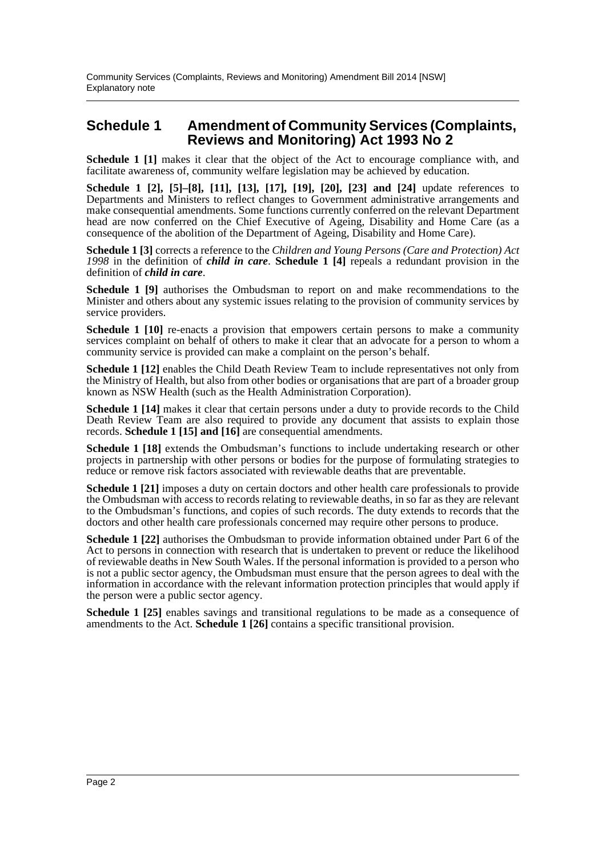#### **Schedule 1 Amendment of Community Services (Complaints, Reviews and Monitoring) Act 1993 No 2**

**Schedule 1 [1]** makes it clear that the object of the Act to encourage compliance with, and facilitate awareness of, community welfare legislation may be achieved by education.

**Schedule 1 [2], [5]–[8], [11], [13], [17], [19], [20], [23] and [24]** update references to Departments and Ministers to reflect changes to Government administrative arrangements and make consequential amendments. Some functions currently conferred on the relevant Department head are now conferred on the Chief Executive of Ageing, Disability and Home Care (as a consequence of the abolition of the Department of Ageing, Disability and Home Care).

**Schedule 1 [3]** corrects a reference to the *Children and Young Persons (Care and Protection) Act 1998* in the definition of *child in care*. **Schedule 1 [4]** repeals a redundant provision in the definition of *child in care*.

**Schedule 1 [9]** authorises the Ombudsman to report on and make recommendations to the Minister and others about any systemic issues relating to the provision of community services by service providers.

**Schedule 1 [10]** re-enacts a provision that empowers certain persons to make a community services complaint on behalf of others to make it clear that an advocate for a person to whom a community service is provided can make a complaint on the person's behalf.

**Schedule 1 [12]** enables the Child Death Review Team to include representatives not only from the Ministry of Health, but also from other bodies or organisations that are part of a broader group known as NSW Health (such as the Health Administration Corporation).

**Schedule 1 [14]** makes it clear that certain persons under a duty to provide records to the Child Death Review Team are also required to provide any document that assists to explain those records. **Schedule 1 [15] and [16]** are consequential amendments.

**Schedule 1 [18]** extends the Ombudsman's functions to include undertaking research or other projects in partnership with other persons or bodies for the purpose of formulating strategies to reduce or remove risk factors associated with reviewable deaths that are preventable.

**Schedule 1 [21]** imposes a duty on certain doctors and other health care professionals to provide the Ombudsman with access to records relating to reviewable deaths, in so far as they are relevant to the Ombudsman's functions, and copies of such records. The duty extends to records that the doctors and other health care professionals concerned may require other persons to produce.

**Schedule 1 [22]** authorises the Ombudsman to provide information obtained under Part 6 of the Act to persons in connection with research that is undertaken to prevent or reduce the likelihood of reviewable deaths in New South Wales. If the personal information is provided to a person who is not a public sector agency, the Ombudsman must ensure that the person agrees to deal with the information in accordance with the relevant information protection principles that would apply if the person were a public sector agency.

**Schedule 1 [25]** enables savings and transitional regulations to be made as a consequence of amendments to the Act. **Schedule 1 [26]** contains a specific transitional provision.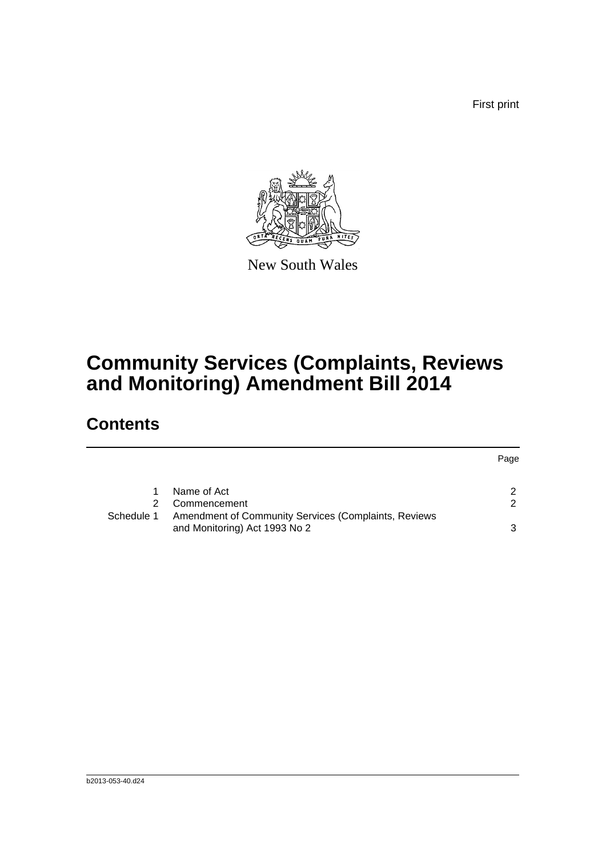First print



New South Wales

## **Community Services (Complaints, Reviews and Monitoring) Amendment Bill 2014**

## **Contents**

|            |                                                      | Page |
|------------|------------------------------------------------------|------|
|            | Name of Act                                          | 2    |
|            | Commencement                                         | 2    |
| Schedule 1 | Amendment of Community Services (Complaints, Reviews |      |
|            | and Monitoring) Act 1993 No 2                        |      |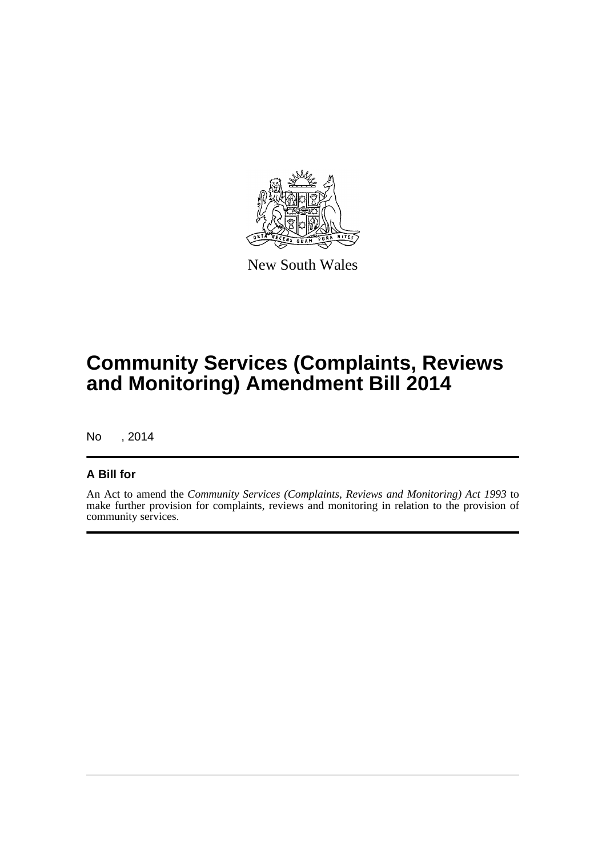

New South Wales

## **Community Services (Complaints, Reviews and Monitoring) Amendment Bill 2014**

No , 2014

#### **A Bill for**

An Act to amend the *Community Services (Complaints, Reviews and Monitoring) Act 1993* to make further provision for complaints, reviews and monitoring in relation to the provision of community services.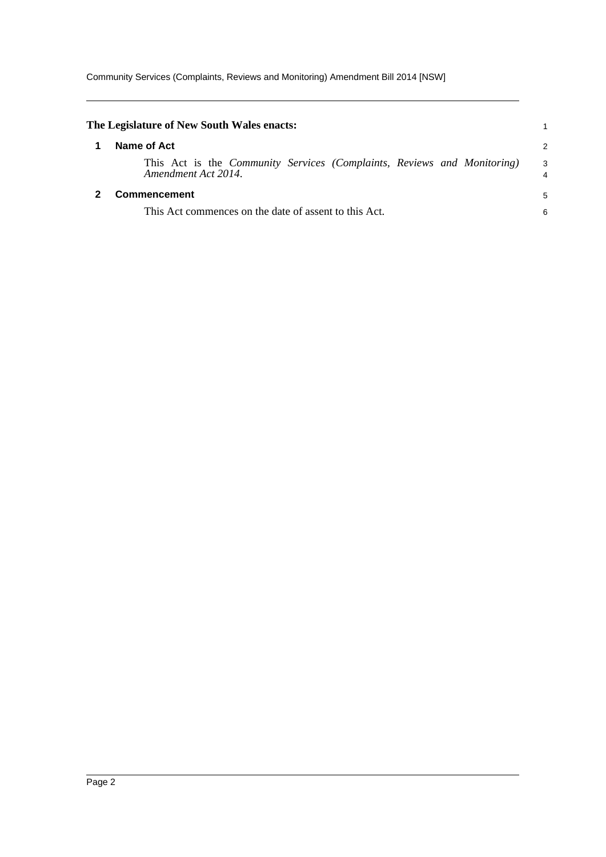Community Services (Complaints, Reviews and Monitoring) Amendment Bill 2014 [NSW]

<span id="page-4-1"></span><span id="page-4-0"></span>

| The Legislature of New South Wales enacts:                                                            |        |
|-------------------------------------------------------------------------------------------------------|--------|
| Name of Act                                                                                           | 2      |
| This Act is the <i>Community Services (Complaints, Reviews and Monitoring)</i><br>Amendment Act 2014. | 3<br>4 |
| Commencement                                                                                          | 5      |
| This Act commences on the date of assent to this Act.                                                 | 6      |
|                                                                                                       |        |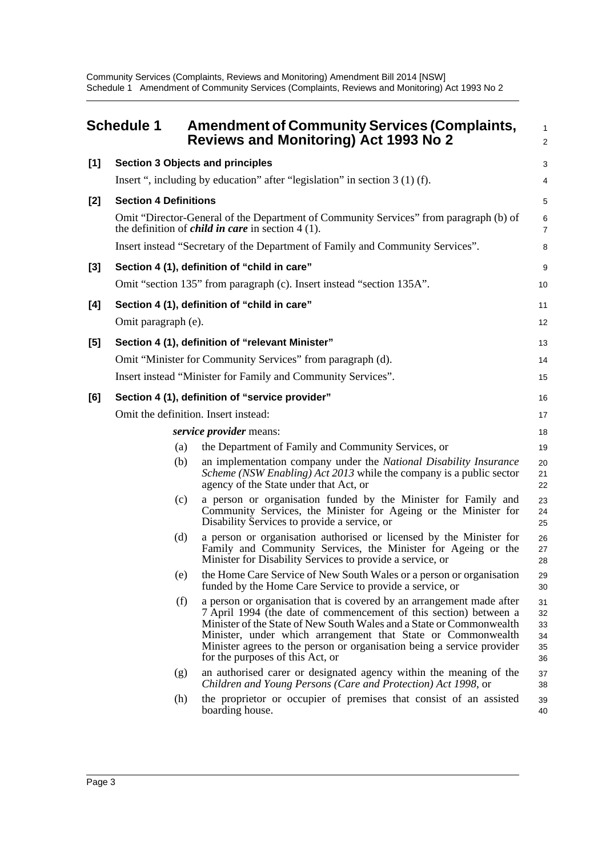Community Services (Complaints, Reviews and Monitoring) Amendment Bill 2014 [NSW] Schedule 1 Amendment of Community Services (Complaints, Reviews and Monitoring) Act 1993 No 2

<span id="page-5-0"></span>

|       | <b>Schedule 1</b>            | <b>Amendment of Community Services (Complaints,</b><br><b>Reviews and Monitoring) Act 1993 No 2</b>                                                                                                                                                                                                                                                                                              | 1<br>$\overline{a}$              |
|-------|------------------------------|--------------------------------------------------------------------------------------------------------------------------------------------------------------------------------------------------------------------------------------------------------------------------------------------------------------------------------------------------------------------------------------------------|----------------------------------|
| [1]   |                              | <b>Section 3 Objects and principles</b>                                                                                                                                                                                                                                                                                                                                                          | 3                                |
|       |                              | Insert ", including by education" after "legislation" in section $3(1)(f)$ .                                                                                                                                                                                                                                                                                                                     | 4                                |
| [2]   | <b>Section 4 Definitions</b> |                                                                                                                                                                                                                                                                                                                                                                                                  | 5                                |
|       |                              | Omit "Director-General of the Department of Community Services" from paragraph (b) of<br>the definition of <i>child in care</i> in section $4(1)$ .                                                                                                                                                                                                                                              | 6<br>7                           |
|       |                              | Insert instead "Secretary of the Department of Family and Community Services".                                                                                                                                                                                                                                                                                                                   | 8                                |
| $[3]$ |                              | Section 4 (1), definition of "child in care"                                                                                                                                                                                                                                                                                                                                                     | 9                                |
|       |                              | Omit "section 135" from paragraph (c). Insert instead "section 135A".                                                                                                                                                                                                                                                                                                                            | 10                               |
| [4]   |                              | Section 4 (1), definition of "child in care"                                                                                                                                                                                                                                                                                                                                                     | 11                               |
|       | Omit paragraph (e).          |                                                                                                                                                                                                                                                                                                                                                                                                  | 12                               |
| [5]   |                              | Section 4 (1), definition of "relevant Minister"                                                                                                                                                                                                                                                                                                                                                 | 13                               |
|       |                              | Omit "Minister for Community Services" from paragraph (d).                                                                                                                                                                                                                                                                                                                                       | 14                               |
|       |                              | Insert instead "Minister for Family and Community Services".                                                                                                                                                                                                                                                                                                                                     | 15                               |
| [6]   |                              | Section 4 (1), definition of "service provider"                                                                                                                                                                                                                                                                                                                                                  | 16                               |
|       |                              | Omit the definition. Insert instead:                                                                                                                                                                                                                                                                                                                                                             | 17                               |
|       |                              | <i>service provider means:</i>                                                                                                                                                                                                                                                                                                                                                                   | 18                               |
|       | (a)                          | the Department of Family and Community Services, or                                                                                                                                                                                                                                                                                                                                              | 19                               |
|       | (b)                          | an implementation company under the National Disability Insurance<br><i>Scheme (NSW Enabling) Act 2013</i> while the company is a public sector<br>agency of the State under that Act, or                                                                                                                                                                                                        | 20<br>21<br>22                   |
|       | (c)                          | a person or organisation funded by the Minister for Family and<br>Community Services, the Minister for Ageing or the Minister for<br>Disability Services to provide a service, or                                                                                                                                                                                                                | 23<br>24<br>25                   |
|       | (d)                          | a person or organisation authorised or licensed by the Minister for<br>Family and Community Services, the Minister for Ageing or the<br>Minister for Disability Services to provide a service, or                                                                                                                                                                                                | 26<br>27<br>28                   |
|       | (e)                          | the Home Care Service of New South Wales or a person or organisation<br>funded by the Home Care Service to provide a service, or                                                                                                                                                                                                                                                                 | 29<br>30                         |
|       | (f)                          | a person or organisation that is covered by an arrangement made after<br>7 April 1994 (the date of commencement of this section) between a<br>Minister of the State of New South Wales and a State or Commonwealth<br>Minister, under which arrangement that State or Commonwealth<br>Minister agrees to the person or organisation being a service provider<br>for the purposes of this Act, or | 31<br>32<br>33<br>34<br>35<br>36 |
|       | (g)                          | an authorised carer or designated agency within the meaning of the<br>Children and Young Persons (Care and Protection) Act 1998, or                                                                                                                                                                                                                                                              | 37<br>38                         |
|       | (h)                          | the proprietor or occupier of premises that consist of an assisted<br>boarding house.                                                                                                                                                                                                                                                                                                            | 39<br>40                         |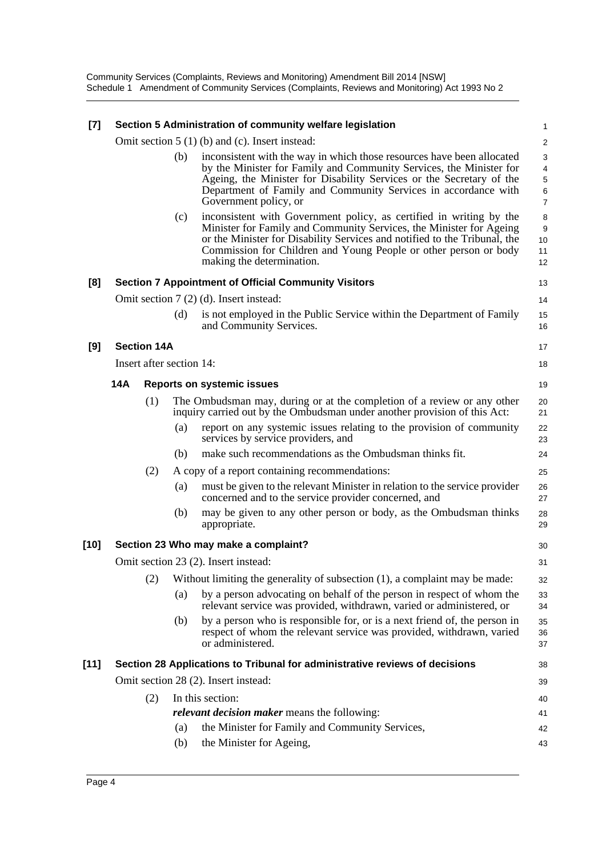| $[7]$  | Section 5 Administration of community welfare legislation |     |                                                                                                                                                                                                                                                                                                                          | 1                                                   |
|--------|-----------------------------------------------------------|-----|--------------------------------------------------------------------------------------------------------------------------------------------------------------------------------------------------------------------------------------------------------------------------------------------------------------------------|-----------------------------------------------------|
|        |                                                           |     | Omit section $5(1)(b)$ and (c). Insert instead:                                                                                                                                                                                                                                                                          | $\overline{c}$                                      |
|        |                                                           | (b) | inconsistent with the way in which those resources have been allocated<br>by the Minister for Family and Community Services, the Minister for<br>Ageing, the Minister for Disability Services or the Secretary of the<br>Department of Family and Community Services in accordance with<br>Government policy, or         | 3<br>$\overline{4}$<br>5<br>$\,6$<br>$\overline{7}$ |
|        |                                                           | (c) | inconsistent with Government policy, as certified in writing by the<br>Minister for Family and Community Services, the Minister for Ageing<br>or the Minister for Disability Services and notified to the Tribunal, the<br>Commission for Children and Young People or other person or body<br>making the determination. | 8<br>9<br>10<br>11<br>12                            |
| [8]    |                                                           |     | <b>Section 7 Appointment of Official Community Visitors</b>                                                                                                                                                                                                                                                              | 13                                                  |
|        |                                                           |     | Omit section 7 (2) (d). Insert instead:                                                                                                                                                                                                                                                                                  | 14                                                  |
|        |                                                           | (d) | is not employed in the Public Service within the Department of Family<br>and Community Services.                                                                                                                                                                                                                         | 15<br>16                                            |
| [9]    | <b>Section 14A</b>                                        |     |                                                                                                                                                                                                                                                                                                                          | 17                                                  |
|        | Insert after section 14:                                  |     |                                                                                                                                                                                                                                                                                                                          | 18                                                  |
|        | 14A                                                       |     | <b>Reports on systemic issues</b>                                                                                                                                                                                                                                                                                        | 19                                                  |
|        | (1)                                                       |     | The Ombudsman may, during or at the completion of a review or any other<br>inquiry carried out by the Ombudsman under another provision of this Act:                                                                                                                                                                     | 20<br>21                                            |
|        |                                                           | (a) | report on any systemic issues relating to the provision of community<br>services by service providers, and                                                                                                                                                                                                               | 22<br>23                                            |
|        |                                                           | (b) | make such recommendations as the Ombudsman thinks fit.                                                                                                                                                                                                                                                                   | 24                                                  |
|        | (2)                                                       |     | A copy of a report containing recommendations:                                                                                                                                                                                                                                                                           | 25                                                  |
|        |                                                           | (a) | must be given to the relevant Minister in relation to the service provider<br>concerned and to the service provider concerned, and                                                                                                                                                                                       | 26<br>27                                            |
|        |                                                           | (b) | may be given to any other person or body, as the Ombudsman thinks<br>appropriate.                                                                                                                                                                                                                                        | 28<br>29                                            |
| [10]   |                                                           |     | Section 23 Who may make a complaint?                                                                                                                                                                                                                                                                                     | 30                                                  |
|        |                                                           |     | Omit section 23 (2). Insert instead:                                                                                                                                                                                                                                                                                     | 31                                                  |
|        |                                                           |     | (2) Without limiting the generality of subsection (1), a complaint may be made:                                                                                                                                                                                                                                          | 32                                                  |
|        |                                                           | (a) | by a person advocating on behalf of the person in respect of whom the<br>relevant service was provided, withdrawn, varied or administered, or                                                                                                                                                                            | 33<br>34                                            |
|        |                                                           | (b) | by a person who is responsible for, or is a next friend of, the person in<br>respect of whom the relevant service was provided, withdrawn, varied<br>or administered.                                                                                                                                                    | 35<br>36<br>37                                      |
| $[11]$ |                                                           |     | Section 28 Applications to Tribunal for administrative reviews of decisions                                                                                                                                                                                                                                              | 38                                                  |
|        |                                                           |     | Omit section 28 (2). Insert instead:                                                                                                                                                                                                                                                                                     | 39                                                  |
|        | (2)                                                       |     | In this section:                                                                                                                                                                                                                                                                                                         | 40                                                  |
|        |                                                           |     | <i>relevant decision maker</i> means the following:                                                                                                                                                                                                                                                                      | 41                                                  |
|        |                                                           | (a) | the Minister for Family and Community Services,                                                                                                                                                                                                                                                                          | 42                                                  |
|        |                                                           | (b) | the Minister for Ageing,                                                                                                                                                                                                                                                                                                 | 43                                                  |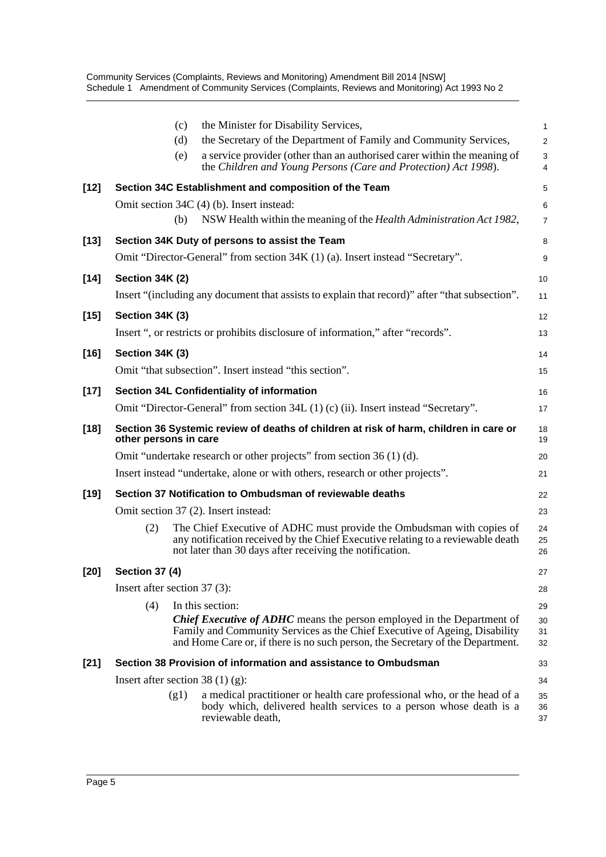Community Services (Complaints, Reviews and Monitoring) Amendment Bill 2014 [NSW] Schedule 1 Amendment of Community Services (Complaints, Reviews and Monitoring) Act 1993 No 2

|        |                              | (c)  | the Minister for Disability Services,                                                                                                                                                                                                         | 1              |
|--------|------------------------------|------|-----------------------------------------------------------------------------------------------------------------------------------------------------------------------------------------------------------------------------------------------|----------------|
|        |                              | (d)  | the Secretary of the Department of Family and Community Services,                                                                                                                                                                             | $\overline{a}$ |
|        |                              | (e)  | a service provider (other than an authorised carer within the meaning of<br>the Children and Young Persons (Care and Protection) Act 1998).                                                                                                   | 3<br>4         |
| $[12]$ |                              |      | Section 34C Establishment and composition of the Team                                                                                                                                                                                         | 5              |
|        |                              |      | Omit section 34C (4) (b). Insert instead:                                                                                                                                                                                                     | 6              |
|        |                              | (b)  | NSW Health within the meaning of the Health Administration Act 1982,                                                                                                                                                                          | 7              |
| $[13]$ |                              |      | Section 34K Duty of persons to assist the Team                                                                                                                                                                                                | 8              |
|        |                              |      | Omit "Director-General" from section 34K (1) (a). Insert instead "Secretary".                                                                                                                                                                 | 9              |
| $[14]$ | Section 34K (2)              |      |                                                                                                                                                                                                                                               | 10             |
|        |                              |      | Insert "(including any document that assists to explain that record)" after "that subsection".                                                                                                                                                | 11             |
| $[15]$ | Section 34K (3)              |      |                                                                                                                                                                                                                                               | 12             |
|        |                              |      | Insert ", or restricts or prohibits disclosure of information," after "records".                                                                                                                                                              | 13             |
| $[16]$ | Section 34K (3)              |      |                                                                                                                                                                                                                                               | 14             |
|        |                              |      | Omit "that subsection". Insert instead "this section".                                                                                                                                                                                        | 15             |
| $[17]$ |                              |      | Section 34L Confidentiality of information                                                                                                                                                                                                    | 16             |
|        |                              |      | Omit "Director-General" from section 34L (1) (c) (ii). Insert instead "Secretary".                                                                                                                                                            | 17             |
| $[18]$ | other persons in care        |      | Section 36 Systemic review of deaths of children at risk of harm, children in care or                                                                                                                                                         | 18<br>19       |
|        |                              |      | Omit "undertake research or other projects" from section 36 (1) (d).                                                                                                                                                                          | 20             |
|        |                              |      | Insert instead "undertake, alone or with others, research or other projects".                                                                                                                                                                 | 21             |
| $[19]$ |                              |      | Section 37 Notification to Ombudsman of reviewable deaths                                                                                                                                                                                     | 22             |
|        |                              |      | Omit section 37 (2). Insert instead:                                                                                                                                                                                                          | 23             |
|        | (2)                          |      | The Chief Executive of ADHC must provide the Ombudsman with copies of<br>any notification received by the Chief Executive relating to a reviewable death<br>not later than 30 days after receiving the notification.                          | 24<br>25<br>26 |
| $[20]$ | <b>Section 37 (4)</b>        |      |                                                                                                                                                                                                                                               | 27             |
|        | Insert after section 37 (3): |      |                                                                                                                                                                                                                                               | 28             |
|        | (4)                          |      | In this section:                                                                                                                                                                                                                              | 29             |
|        |                              |      | <b>Chief Executive of ADHC</b> means the person employed in the Department of<br>Family and Community Services as the Chief Executive of Ageing, Disability<br>and Home Care or, if there is no such person, the Secretary of the Department. | 30<br>31<br>32 |
| $[21]$ |                              |      | Section 38 Provision of information and assistance to Ombudsman                                                                                                                                                                               | 33             |
|        |                              |      | Insert after section 38 $(1)$ (g):                                                                                                                                                                                                            | 34             |
|        |                              | (g1) | a medical practitioner or health care professional who, or the head of a<br>body which, delivered health services to a person whose death is a<br>reviewable death,                                                                           | 35<br>36<br>37 |
|        |                              |      |                                                                                                                                                                                                                                               |                |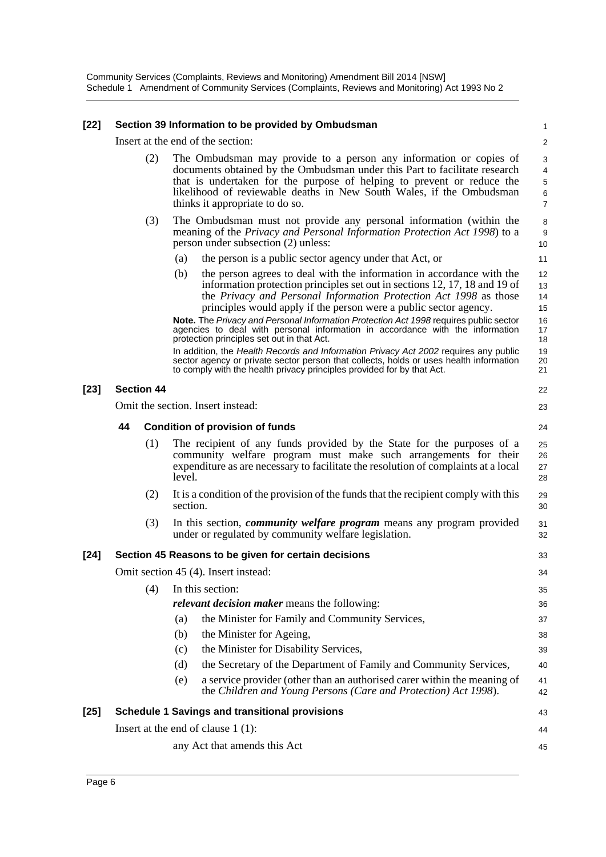#### **[22] Section 39 Information to be provided by Ombudsman**

Insert at the end of the section:

1  $\mathfrak{p}$ 3

- (2) The Ombudsman may provide to a person any information or copies of documents obtained by the Ombudsman under this Part to facilitate research that is undertaken for the purpose of helping to prevent or reduce the likelihood of reviewable deaths in New South Wales, if the Ombudsman thinks it appropriate to do so.
- (3) The Ombudsman must not provide any personal information (within the meaning of the *Privacy and Personal Information Protection Act 1998*) to a person under subsection (2) unless:
	- (a) the person is a public sector agency under that Act, or
	- (b) the person agrees to deal with the information in accordance with the information protection principles set out in sections 12, 17, 18 and 19 of the *Privacy and Personal Information Protection Act 1998* as those principles would apply if the person were a public sector agency.

**Note.** The *Privacy and Personal Information Protection Act 1998* requires public sector agencies to deal with personal information in accordance with the information protection principles set out in that Act. In addition, the *Health Records and Information Privacy Act 2002* requires any public sector agency or private sector person that collects, holds or uses health information

to comply with the health privacy principles provided for by that Act. **[23] Section 44** Omit the section. Insert instead: **44 Condition of provision of funds** (1) The recipient of any funds provided by the State for the purposes of a community welfare program must make such arrangements for their expenditure as are necessary to facilitate the resolution of complaints at a local level. (2) It is a condition of the provision of the funds that the recipient comply with this section. (3) In this section, *community welfare program* means any program provided under or regulated by community welfare legislation. **[24] Section 45 Reasons to be given for certain decisions** Omit section 45 (4). Insert instead: (4) In this section: *relevant decision maker* means the following: (a) the Minister for Family and Community Services, (b) the Minister for Ageing, (c) the Minister for Disability Services, (d) the Secretary of the Department of Family and Community Services, (e) a service provider (other than an authorised carer within the meaning of the *Children and Young Persons (Care and Protection) Act 1998*). **[25] Schedule 1 Savings and transitional provisions** Insert at the end of clause 1 (1): any Act that amends this Act 21 22 23 24 25 26 27 28 29 30 31 32 33 34 35 36 37 38 39 40 41 42 43 44 45